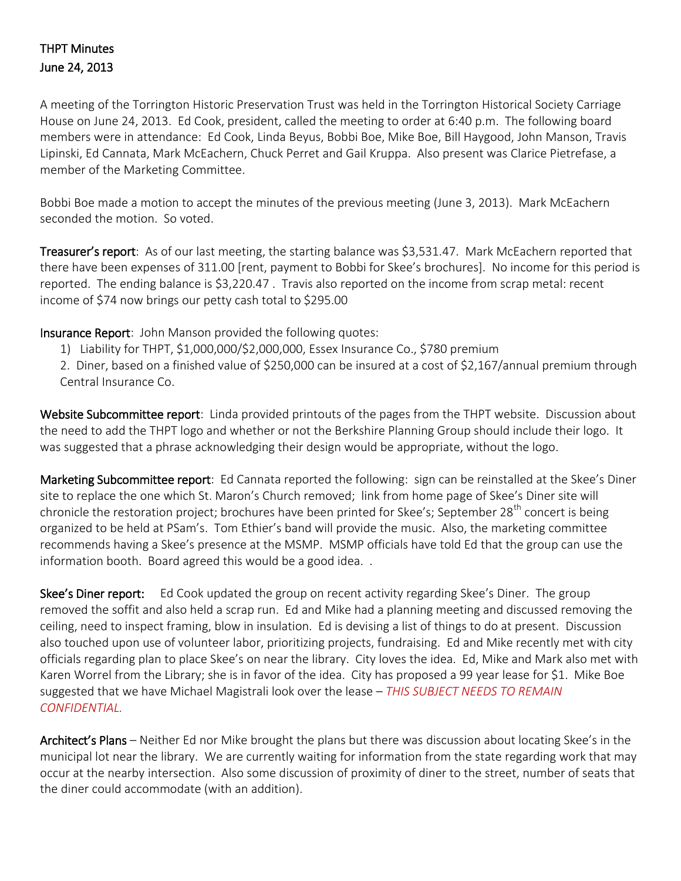## THPT Minutes June 24, 2013

A meeting of the Torrington Historic Preservation Trust was held in the Torrington Historical Society Carriage House on June 24, 2013. Ed Cook, president, called the meeting to order at 6:40 p.m. The following board members were in attendance: Ed Cook, Linda Beyus, Bobbi Boe, Mike Boe, Bill Haygood, John Manson, Travis Lipinski, Ed Cannata, Mark McEachern, Chuck Perret and Gail Kruppa. Also present was Clarice Pietrefase, a member of the Marketing Committee.

Bobbi Boe made a motion to accept the minutes of the previous meeting (June 3, 2013). Mark McEachern seconded the motion. So voted.

Treasurer's report: As of our last meeting, the starting balance was \$3,531.47. Mark McEachern reported that there have been expenses of 311.00 [rent, payment to Bobbi for Skee's brochures]. No income for this period is reported. The ending balance is \$3,220.47 . Travis also reported on the income from scrap metal: recent income of \$74 now brings our petty cash total to \$295.00

Insurance Report: John Manson provided the following quotes:

1) Liability for THPT, \$1,000,000/\$2,000,000, Essex Insurance Co., \$780 premium

2. Diner, based on a finished value of \$250,000 can be insured at a cost of \$2,167/annual premium through Central Insurance Co.

Website Subcommittee report: Linda provided printouts of the pages from the THPT website. Discussion about the need to add the THPT logo and whether or not the Berkshire Planning Group should include their logo. It was suggested that a phrase acknowledging their design would be appropriate, without the logo.

Marketing Subcommittee report: Ed Cannata reported the following: sign can be reinstalled at the Skee's Diner site to replace the one which St. Maron's Church removed; link from home page of Skee's Diner site will chronicle the restoration project; brochures have been printed for Skee's; September 28<sup>th</sup> concert is being organized to be held at PSam's. Tom Ethier's band will provide the music. Also, the marketing committee recommends having a Skee's presence at the MSMP. MSMP officials have told Ed that the group can use the information booth. Board agreed this would be a good idea. .

Skee's Diner report: Ed Cook updated the group on recent activity regarding Skee's Diner. The group removed the soffit and also held a scrap run. Ed and Mike had a planning meeting and discussed removing the ceiling, need to inspect framing, blow in insulation. Ed is devising a list of things to do at present. Discussion also touched upon use of volunteer labor, prioritizing projects, fundraising. Ed and Mike recently met with city officials regarding plan to place Skee's on near the library. City loves the idea. Ed, Mike and Mark also met with Karen Worrel from the Library; she is in favor of the idea. City has proposed a 99 year lease for \$1. Mike Boe suggested that we have Michael Magistrali look over the lease – *THIS SUBJECT NEEDS TO REMAIN CONFIDENTIAL.*

Architect's Plans – Neither Ed nor Mike brought the plans but there was discussion about locating Skee's in the municipal lot near the library. We are currently waiting for information from the state regarding work that may occur at the nearby intersection. Also some discussion of proximity of diner to the street, number of seats that the diner could accommodate (with an addition).